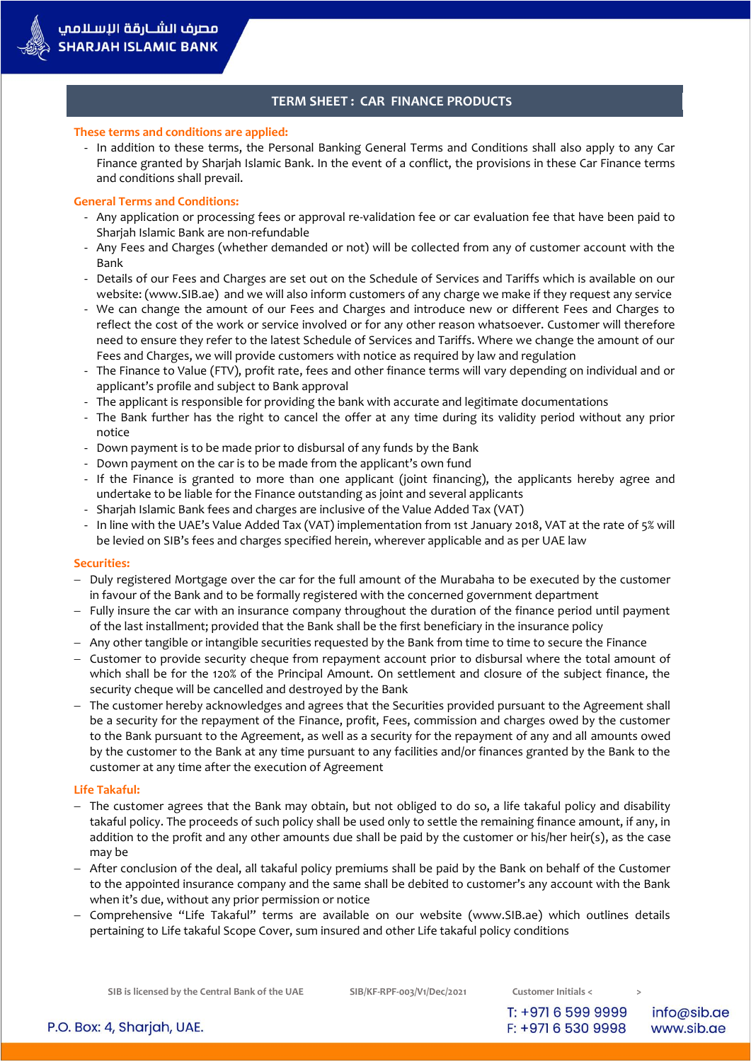# **TERM SHEET : CAR FINANCE PRODUCTS**

### **These terms and conditions are applied:**

- In addition to these terms, the Personal Banking General Terms and Conditions shall also apply to any Car Finance granted by Sharjah Islamic Bank. In the event of a conflict, the provisions in these Car Finance terms and conditions shall prevail.

### **General Terms and Conditions:**

- Any application or processing fees or approval re-validation fee or car evaluation fee that have been paid to Sharjah Islamic Bank are non-refundable
- Any Fees and Charges (whether demanded or not) will be collected from any of customer account with the Bank
- Details of our Fees and Charges are set out on the Schedule of Services and Tariffs which is available on our website: (www.SIB.ae) and we will also inform customers of any charge we make if they request any service
- We can change the amount of our Fees and Charges and introduce new or different Fees and Charges to reflect the cost of the work or service involved or for any other reason whatsoever. Customer will therefore need to ensure they refer to the latest Schedule of Services and Tariffs. Where we change the amount of our Fees and Charges, we will provide customers with notice as required by law and regulation
- The Finance to Value (FTV), profit rate, fees and other finance terms will vary depending on individual and or applicant's profile and subject to Bank approval
- The applicant is responsible for providing the bank with accurate and legitimate documentations
- The Bank further has the right to cancel the offer at any time during its validity period without any prior notice
- Down payment is to be made prior to disbursal of any funds by the Bank
- Down payment on the car is to be made from the applicant's own fund
- If the Finance is granted to more than one applicant (joint financing), the applicants hereby agree and undertake to be liable for the Finance outstanding as joint and several applicants
- Sharjah Islamic Bank fees and charges are inclusive of the Value Added Tax (VAT)
- In line with the UAE's Value Added Tax (VAT) implementation from 1st January 2018, VAT at the rate of 5% will be levied on SIB's fees and charges specified herein, wherever applicable and as per UAE law

#### **Securities:**

- Duly registered Mortgage over the car for the full amount of the Murabaha to be executed by the customer in favour of the Bank and to be formally registered with the concerned government department
- Fully insure the car with an insurance company throughout the duration of the finance period until payment of the last installment; provided that the Bank shall be the first beneficiary in the insurance policy
- Any other tangible or intangible securities requested by the Bank from time to time to secure the Finance
- Customer to provide security cheque from repayment account prior to disbursal where the total amount of which shall be for the 120% of the Principal Amount. On settlement and closure of the subject finance, the security cheque will be cancelled and destroyed by the Bank
- The customer hereby acknowledges and agrees that the Securities provided pursuant to the Agreement shall be a security for the repayment of the Finance, profit, Fees, commission and charges owed by the customer to the Bank pursuant to the Agreement, as well as a security for the repayment of any and all amounts owed by the customer to the Bank at any time pursuant to any facilities and/or finances granted by the Bank to the customer at any time after the execution of Agreement

#### **Life Takaful:**

- The customer agrees that the Bank may obtain, but not obliged to do so, a life takaful policy and disability takaful policy. The proceeds of such policy shall be used only to settle the remaining finance amount, if any, in addition to the profit and any other amounts due shall be paid by the customer or his/her heir(s), as the case may be
- After conclusion of the deal, all takaful policy premiums shall be paid by the Bank on behalf of the Customer to the appointed insurance company and the same shall be debited to customer's any account with the Bank when it's due, without any prior permission or notice
- Comprehensive "Life Takaful" terms are available on our website (www.SIB.ae) which outlines details pertaining to Life takaful Scope Cover, sum insured and other Life takaful policy conditions

**SIB is licensed by the Central Bank of the UAE SIB/KF-RPF-003/V1/Dec/2021 Customer Initials < >**

T: +971 6 599 9999

F: +971 6 530 9998

info@sib.ae www.sib.ae

P.O. Box: 4, Sharjah, UAE.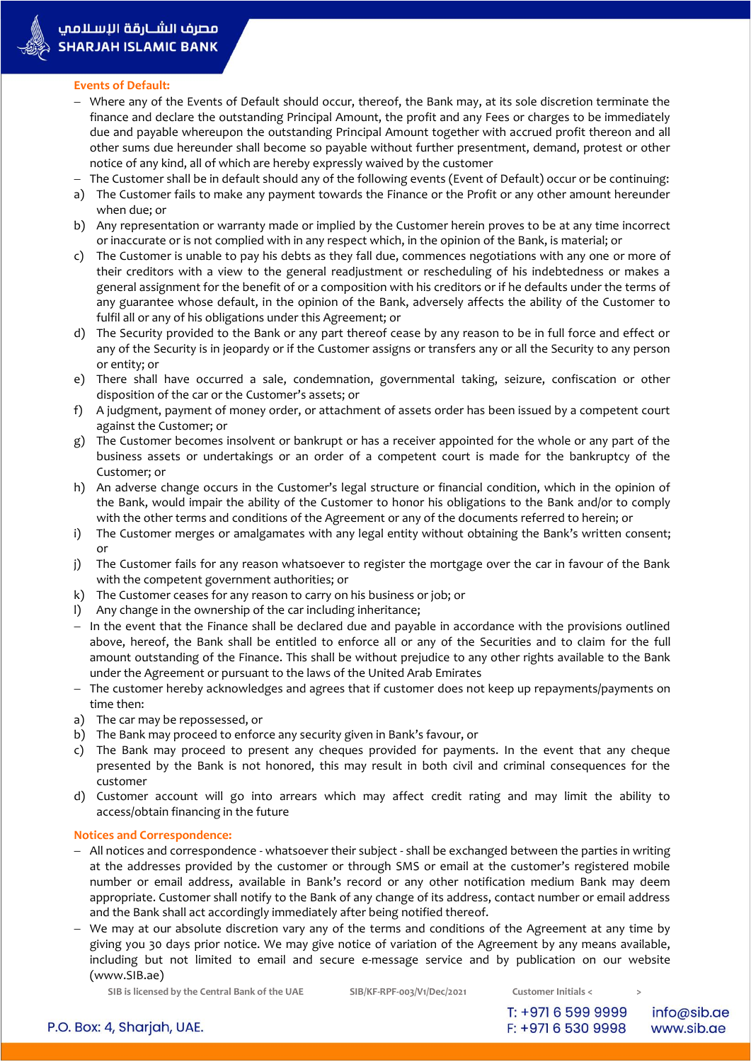

# **Events of Default:**

- Where any of the Events of Default should occur, thereof, the Bank may, at its sole discretion terminate the finance and declare the outstanding Principal Amount, the profit and any Fees or charges to be immediately due and payable whereupon the outstanding Principal Amount together with accrued profit thereon and all other sums due hereunder shall become so payable without further presentment, demand, protest or other notice of any kind, all of which are hereby expressly waived by the customer
- The Customer shall be in default should any of the following events (Event of Default) occur or be continuing:
- a) The Customer fails to make any payment towards the Finance or the Profit or any other amount hereunder when due; or
- b) Any representation or warranty made or implied by the Customer herein proves to be at any time incorrect or inaccurate or is not complied with in any respect which, in the opinion of the Bank, is material; or
- c) The Customer is unable to pay his debts as they fall due, commences negotiations with any one or more of their creditors with a view to the general readjustment or rescheduling of his indebtedness or makes a general assignment for the benefit of or a composition with his creditors or if he defaults under the terms of any guarantee whose default, in the opinion of the Bank, adversely affects the ability of the Customer to fulfil all or any of his obligations under this Agreement; or
- d) The Security provided to the Bank or any part thereof cease by any reason to be in full force and effect or any of the Security is in jeopardy or if the Customer assigns or transfers any or all the Security to any person or entity; or
- e) There shall have occurred a sale, condemnation, governmental taking, seizure, confiscation or other disposition of the car or the Customer's assets; or
- f) A judgment, payment of money order, or attachment of assets order has been issued by a competent court against the Customer; or
- g) The Customer becomes insolvent or bankrupt or has a receiver appointed for the whole or any part of the business assets or undertakings or an order of a competent court is made for the bankruptcy of the Customer; or
- h) An adverse change occurs in the Customer's legal structure or financial condition, which in the opinion of the Bank, would impair the ability of the Customer to honor his obligations to the Bank and/or to comply with the other terms and conditions of the Agreement or any of the documents referred to herein; or
- i) The Customer merges or amalgamates with any legal entity without obtaining the Bank's written consent; or
- j) The Customer fails for any reason whatsoever to register the mortgage over the car in favour of the Bank with the competent government authorities; or
- k) The Customer ceases for any reason to carry on his business or job; or
- l) Any change in the ownership of the car including inheritance;
- In the event that the Finance shall be declared due and payable in accordance with the provisions outlined above, hereof, the Bank shall be entitled to enforce all or any of the Securities and to claim for the full amount outstanding of the Finance. This shall be without prejudice to any other rights available to the Bank under the Agreement or pursuant to the laws of the United Arab Emirates
- The customer hereby acknowledges and agrees that if customer does not keep up repayments/payments on time then:
- a) The car may be repossessed, or
- b) The Bank may proceed to enforce any security given in Bank's favour, or
- c) The Bank may proceed to present any cheques provided for payments. In the event that any cheque presented by the Bank is not honored, this may result in both civil and criminal consequences for the customer
- d) Customer account will go into arrears which may affect credit rating and may limit the ability to access/obtain financing in the future

# **Notices and Correspondence:**

- All notices and correspondence whatsoever their subject shall be exchanged between the parties in writing at the addresses provided by the customer or through SMS or email at the customer's registered mobile number or email address, available in Bank's record or any other notification medium Bank may deem appropriate. Customer shall notify to the Bank of any change of its address, contact number or email address and the Bank shall act accordingly immediately after being notified thereof.
- We may at our absolute discretion vary any of the terms and conditions of the Agreement at any time by giving you 30 days prior notice. We may give notice of variation of the Agreement by any means available, including but not limited to email and secure e-message service and by publication on our website (www.SIB.ae)

**SIB is licensed by the Central Bank of the UAE SIB/KF-RPF-003/V1/Dec/2021 Customer Initials < >**

info@sib.ae www.sib.ae

P.O. Box: 4, Sharjah, UAE.

T: +971 6 599 9999 F: +971 6 530 9998